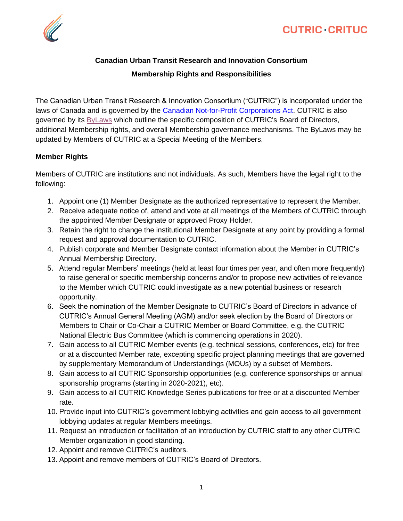

## **Canadian Urban Transit Research and Innovation Consortium Membership Rights and Responsibilities**

The Canadian Urban Transit Research & Innovation Consortium ("CUTRIC") is incorporated under the laws of Canada and is governed by the [Canadian Not-for-Profit Corporations Act.](https://laws.justice.gc.ca/eng/acts/c-7.75/) CUTRIC is also governed by its [ByLaws](https://cutric-crituc.org/wp-content/uploads/2020/12/Second-2020-2021-Revised-and-Restated-CUTRIC-By-law-5-November-2020_Signed.pdf) which outline the specific composition of CUTRIC's Board of Directors, additional Membership rights, and overall Membership governance mechanisms. The ByLaws may be updated by Members of CUTRIC at a Special Meeting of the Members.

## **Member Rights**

Members of CUTRIC are institutions and not individuals. As such, Members have the legal right to the following:

- 1. Appoint one (1) Member Designate as the authorized representative to represent the Member.
- 2. Receive adequate notice of, attend and vote at all meetings of the Members of CUTRIC through the appointed Member Designate or approved Proxy Holder.
- 3. Retain the right to change the institutional Member Designate at any point by providing a formal request and approval documentation to CUTRIC.
- 4. Publish corporate and Member Designate contact information about the Member in CUTRIC's Annual Membership Directory.
- 5. Attend regular Members' meetings (held at least four times per year, and often more frequently) to raise general or specific membership concerns and/or to propose new activities of relevance to the Member which CUTRIC could investigate as a new potential business or research opportunity.
- 6. Seek the nomination of the Member Designate to CUTRIC's Board of Directors in advance of CUTRIC's Annual General Meeting (AGM) and/or seek election by the Board of Directors or Members to Chair or Co-Chair a CUTRIC Member or Board Committee, e.g. the CUTRIC National Electric Bus Committee (which is commencing operations in 2020).
- 7. Gain access to all CUTRIC Member events (e.g. technical sessions, conferences, etc) for free or at a discounted Member rate, excepting specific project planning meetings that are governed by supplementary Memorandum of Understandings (MOUs) by a subset of Members.
- 8. Gain access to all CUTRIC Sponsorship opportunities (e.g. conference sponsorships or annual sponsorship programs (starting in 2020-2021), etc).
- 9. Gain access to all CUTRIC Knowledge Series publications for free or at a discounted Member rate.
- 10. Provide input into CUTRIC's government lobbying activities and gain access to all government lobbying updates at regular Members meetings.
- 11. Request an introduction or facilitation of an introduction by CUTRIC staff to any other CUTRIC Member organization in good standing.
- 12. Appoint and remove CUTRIC's auditors.
- 13. Appoint and remove members of CUTRIC's Board of Directors.